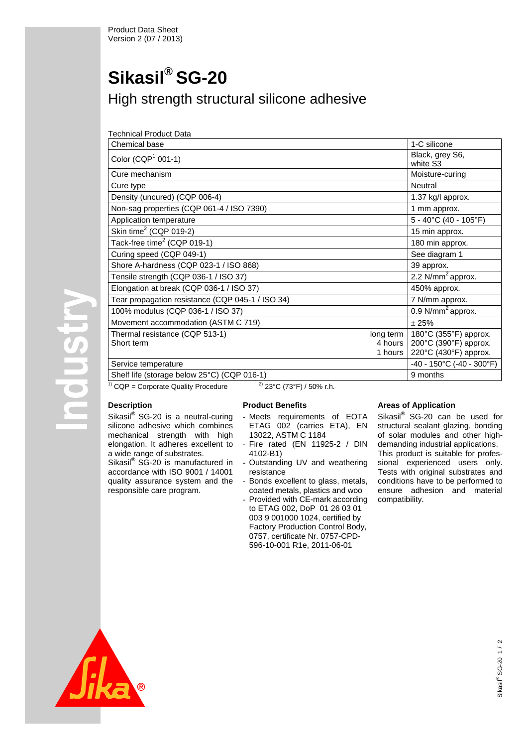# **Sikasil® SG-20** High strength structural silicone adhesive

| Technical Product Data                           |                                   |                                                                         |
|--------------------------------------------------|-----------------------------------|-------------------------------------------------------------------------|
| Chemical base                                    |                                   | 1-C silicone                                                            |
| Color (CQP $1$ 001-1)                            |                                   | Black, grey S6,<br>white S3                                             |
| Cure mechanism                                   |                                   | Moisture-curing                                                         |
| Cure type                                        |                                   | Neutral                                                                 |
| Density (uncured) (CQP 006-4)                    |                                   | 1.37 kg/l approx.                                                       |
| Non-sag properties (CQP 061-4 / ISO 7390)        |                                   | 1 mm approx.                                                            |
| Application temperature                          |                                   | 5 - 40°C (40 - 105°F)                                                   |
| Skin time <sup>2</sup> (CQP 019-2)               |                                   | 15 min approx.                                                          |
| Tack-free time <sup>2</sup> (CQP 019-1)          |                                   | 180 min approx.                                                         |
| Curing speed (CQP 049-1)                         |                                   | See diagram 1                                                           |
| Shore A-hardness (CQP 023-1 / ISO 868)           |                                   | 39 approx.                                                              |
| Tensile strength (CQP 036-1 / ISO 37)            |                                   | $2.2$ N/mm <sup>2</sup> approx.                                         |
| Elongation at break (CQP 036-1 / ISO 37)         |                                   | 450% approx.                                                            |
| Tear propagation resistance (CQP 045-1 / ISO 34) |                                   | 7 N/mm approx.                                                          |
| 100% modulus (CQP 036-1 / ISO 37)                |                                   | 0.9 $N/mm^2$ approx.                                                    |
| Movement accommodation (ASTM C 719)              |                                   | ±25%                                                                    |
| Thermal resistance (CQP 513-1)<br>Short term     | long term<br>4 hours  <br>1 hours | 180°C (355°F) approx.<br>200°C (390°F) approx.<br>220°C (430°F) approx. |
| Service temperature                              |                                   | -40 - 150°C (-40 - 300°F)                                               |
| Shelf life (storage below 25°C) (CQP 016-1)      |                                   | 9 months                                                                |

 $\frac{1}{1}$  CQP = Corporate Quality Procedure  $\frac{2}{1}$  23°C (73°F) / 50% r.h.

## **Description**

**POUSIT** 

Sikasil® SG-20 is a neutral-curing silicone adhesive which combines mechanical strength with high elongation. It adheres excellent to a wide range of substrates. Sikasil® SG-20 is manufactured in

accordance with ISO 9001 / 14001 quality assurance system and the responsible care program.

## **Product Benefits**

- Meets requirements of EOTA ETAG 002 (carries ETA), EN 13022, ASTM C 1184
- Fire rated (EN 11925-2 / DIN 4102-B1)
- Outstanding UV and weathering resistance
- Bonds excellent to glass, metals, coated metals, plastics and woo
- Provided with CE-mark according to ETAG 002, DoP 01 26 03 01 003 9 001000 1024, certified by Factory Production Control Body, 0757, certificate Nr. 0757-CPD-596-10-001 R1e, 2011-06-01

## **Areas of Application**

Sikasil® SG-20 can be used for structural sealant glazing, bonding of solar modules and other highdemanding industrial applications. This product is suitable for professional experienced users only. Tests with original substrates and conditions have to be performed to ensure adhesion and material compatibility.